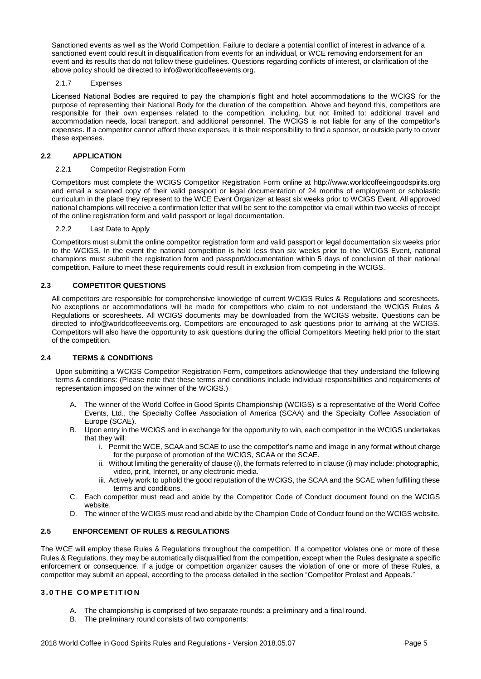Sanctioned events as well as the World Competition. Failure to declare a potential conflict of interest in advance of a sanctioned event could result in disqualification from events for an individual, or WCE removing endorsement for an event and its results that do not follow these guidelines. Questions regarding conflicts of interest, or clarification of the above policy should be directed to info@worldcoffeeevents.org.

# 2.1.7 Expenses

Licensed National Bodies are required to pay the champion's flight and hotel accommodations to the WCIGS for the purpose of representing their National Body for the duration of the competition. Above and beyond this, competitors are responsible for their own expenses related to the competition, including, but not limited to: additional travel and accommodation needs, local transport, and additional personnel. The WCIGS is not liable for any of the competitor's expenses. If a competitor cannot afford these expenses, it is their responsibility to find a sponsor, or outside party to cover these expenses.

# **2.2 APPLICATION**

# 2.2.1 Competitor Registration Form

Competitors must complete the WCIGS Competitor Registration Form online at [http://www.worldcoffeeingoodspirits.org](http://www.worldcoffeeingoodspirits.org/) and email a scanned copy of their valid passport or legal documentation of 24 months of employment or scholastic curriculum in the place they represent to the WCE Event Organizer at least six weeks prior to WCIGS Event. All approved national champions will receive a confirmation letter that will be sent to the competitor via email within two weeks of receipt of the online registration form and valid passport or legal documentation.

# 2.2.2 Last Date to Apply

Competitors must submit the online competitor registration form and valid passport or legal documentation six weeks prior to the WCIGS. In the event the national competition is held less than six weeks prior to the WCIGS Event, national champions must submit the registration form and passport/documentation within 5 days of conclusion of their national competition. Failure to meet these requirements could result in exclusion from competing in the WCIGS.

# **2.3 COMPETITOR QUESTIONS**

All competitors are responsible for comprehensive knowledge of current WCIGS Rules & Regulations and scoresheets. No exceptions or accommodations will be made for competitors who claim to not understand the WCIGS Rules & Regulations or scoresheets. All WCIGS documents may be downloaded from the WCIGS website. Questions can be directed to info@worldcoffeeevents.org. Competitors are encouraged to ask questions prior to arriving at the WCIGS. Competitors will also have the opportunity to ask questions during the official Competitors Meeting held prior to the start of the competition.

# **2.4 TERMS & CONDITIONS**

Upon submitting a WCIGS Competitor Registration Form, competitors acknowledge that they understand the following terms & conditions: (Please note that these terms and conditions include individual responsibilities and requirements of representation imposed on the winner of the WCIGS.)

- The winner of the World Coffee in Good Spirits Championship (WCIGS) is a representative of the World Coffee Events, Ltd., the Specialty Coffee Association of America (SCAA) and the Specialty Coffee Association of Europe (SCAE).
- B. Upon entry in the WCIGS and in exchange for the opportunity to win, each competitor in the WCIGS undertakes that they will:
	- i. Permit the WCE, SCAA and SCAE to use the competitor's name and image in any format without charge for the purpose of promotion of the WCIGS, SCAA or the SCAE.
	- ii. Without limiting the generality of clause (i), the formats referred to in clause (i) may include: photographic, video, print, Internet, or any electronic media.
	- iii. Actively work to uphold the good reputation of the WCIGS, the SCAA and the SCAE when fulfilling these terms and conditions.
- C. Each competitor must read and abide by the Competitor Code of Conduct document found on the WCIGS website.
- D. The winner of the WCIGS must read and abide by the Champion Code of Conduct found on the WCIGS website.

# **2.5 ENFORCEMENT OF RULES & REGULATIONS**

The WCE will employ these Rules & Regulations throughout the competition. If a competitor violates one or more of these Rules & Regulations, they may be automatically disqualified from the competition, except when the Rules designate a specific enforcement or consequence. If a judge or competition organizer causes the violation of one or more of these Rules, a competitor may submit an appeal, according to the process detailed in the section "Competitor Protest and Appeals."

# **3.0 T H E C O MP E T IT IO N**

- A. The championship is comprised of two separate rounds: a preliminary and a final round.
- B. The preliminary round consists of two components: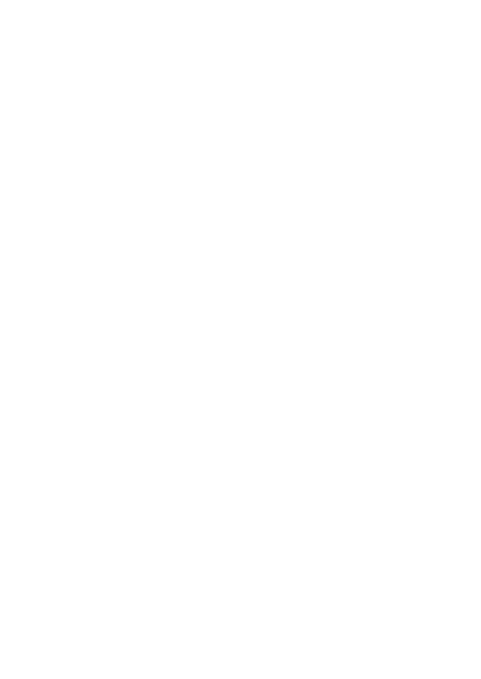Sanctioned events as well as the World Competition. Failure to declare a potential conflict of interest in advance of a sanctioned event could result in disqualification from events for an individual, or WCE removing endorsement for an event and its results that do not follow these guidelines. Questions regarding conflicts of interest, or clarification of the above policy should be directed to info@worldcoffeeevents.org.

#### $2.1.7$ Expenses

/LFHQVHG 1DWLRQDO %RGLHV DUH UHTXLUHG WR SD\ WKH FKDPSLORHOLTV IOLJ purpose of representing their National Body for the duration of the competition. Above and beyond this, competitors are responsible for their own expenses related to the competition, including, but not limited to: additional travel and accommodati RQ QHHGV ORFDO WUDQVSRUW DQG DGGLWLRQDO SHUVRQQHO **7KH** expenses. If a competitor cannot afford these expenses, it is their responsibility to find a sponsor, or outside party to cover these expenses.

#### $2.2$ **APPLICATION**

#### $2.2.1$ **Competitor Registration Form**

Competitors must complete the WCIGS Competitor Registration Form online at http://www.worldcoffeeingoodspirits.org and email a scanned copy of their valid passport or legal documentation of 24 months of employment or scholastic curriculum in the place they represent to the WCE Event Organizer at least six weeks prior to WCIGS Event. All approved national champions will receive a confirmation letter that will be sent to the competitor via email within two weeks of receipt of the online registration form and valid passport or legal documentation.

#### $2.2.2$ Last Date to Apply

Competitors must submit the online competitor registration form and valid passport or legal documentation six weeks prior to the WCIGS. In the event the national competition is held less than six weeks prior to the WCIGS Event, national champions must submit the registration form and passport/documentation within 5 days of conclusion of their national competition. Failure to meet these requirements could result in exclusion from competing in the WCIGS.

#### $23$ **COMPETITOR QUESTIONS**

All competitors are responsible for comprehensive knowledge of current WCIGS Rules & Regulations and scoresheets. No exceptions or accommodations will be made for competitors who claim to not understand the WCIGS Rules & Regulations or scoresheets. All WCIGS documents may be downloaded from the WCIGS website. Questions can be directed to info@worldcoffeeevents.org. Competitors are encouraged to ask guestions prior to arriving at the WCIGS. Competitors will also have the opportunity to ask questions during the official Competitors Meeting held prior to the start of the competition.

#### $2.4$ **TERMS & CONDITIONS**

Upon submitting a WCIGS Competitor Registration Form, competitors acknowledge that they understand the following terms & conditions: (Please note that these terms and conditions include individual responsibilities and requirements of representation imposed on the winner of the WCIGS.)

- The winner of the World Coffee in Good Spirits Championship (WCIGS) is a representative of the World Coffee Events, Ltd., the Specialty Coffee Association of America (SCAA) and the Specialty Coffee Association of Europe (SCAE).
- B. Upon entry in the WCIGS and in exchange for the opportunity to win, each competitor in the WCIGS undertakes that they will:
	- i. Permit the WCE, SCAA and SCAE to use the FRPSHWLWRU¶V QDPH DQG LPDJH LQ DQ\ for the purpose of promotion of the WCIGS, SCAA or the SCAE.
	- ii. Without limiting the generality of clause (i), the formats referred to in clause (i) may include: photographic, video, print, Internet, or any electronic media.
	- iii. Actively work to uphold the good reputation of the WCIGS, the SCAA and the SCAE when fulfilling these terms and conditions.
- C. Each competitor must read and abide by the Competitor Code of Conduct document found on the WCIGS **A**
- D. The winner of the WCIGS must read and abide by the Champion Code of Conduct found on the WCIGS website.

#### 2.5 **ENFORCEMENT OF RULES & REGULATIONS**

The WCE will employ these Rules & Regulations throughout the competition. If a competitor violates one or more of these Rules & Regulations, they may be automatically disqualified from the competition, except when the Rules designate a specific enforcement or consequence. If a judge or competition organizer causes the violation of one or more of these Rules, a<br>competitor m D \ V X E P L W D Q D S S H D O D F F R U G L Q J WR W K H S U R F H V V G H W D L O H G L

# 3.0 THE COMPETITION

- A. The championship is comprised of two separate rounds: a preliminary and a final round.
- B. The preliminary round consists of two components: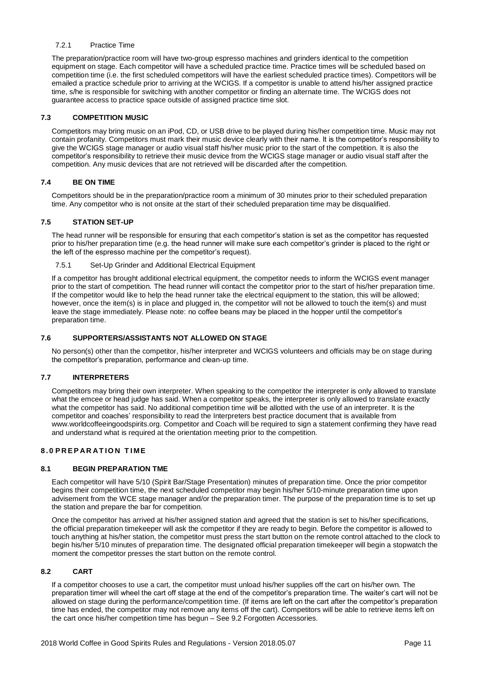# 7.2.1 Practice Time

The preparation/practice room will have two-group espresso machines and grinders identical to the competition equipment on stage. Each competitor will have a scheduled practice time. Practice times will be scheduled based on competition time (i.e. the first scheduled competitors will have the earliest scheduled practice times). Competitors will be emailed a practice schedule prior to arriving at the WCIGS. If a competitor is unable to attend his/her assigned practice time, s/he is responsible for switching with another competitor or finding an alternate time. The WCIGS does not guarantee access to practice space outside of assigned practice time slot.

# **7.3 COMPETITION MUSIC**

Competitors may bring music on an iPod, CD, or USB drive to be played during his/her competition time. Music may not contain profanity. Competitors must mark their music device clearly with their name. It is the competitor's responsibility to give the WCIGS stage manager or audio visual staff his/her music prior to the start of the competition. It is also the competitor's responsibility to retrieve their music device from the WCIGS stage manager or audio visual staff after the competition. Any music devices that are not retrieved will be discarded after the competition.

# **7.4 BE ON TIME**

Competitors should be in the preparation/practice room a minimum of 30 minutes prior to their scheduled preparation time. Any competitor who is not onsite at the start of their scheduled preparation time may be disqualified.

# **7.5 STATION SET-UP**

The head runner will be responsible for ensuring that each competitor's station is set as the competitor has requested prior to his/her preparation time (e.g. the head runner will make sure each competitor's grinder is placed to the right or the left of the espresso machine per the competitor's request).

7.5.1 Set-Up Grinder and Additional Electrical Equipment

If a competitor has brought additional electrical equipment, the competitor needs to inform the WCIGS event manager prior to the start of competition. The head runner will contact the competitor prior to the start of his/her preparation time. If the competitor would like to help the head runner take the electrical equipment to the station, this will be allowed; however, once the item(s) is in place and plugged in, the competitor will not be allowed to touch the item(s) and must leave the stage immediately. Please note: no coffee beans may be placed in the hopper until the competitor's preparation time.

# **7.6 SUPPORTERS/ASSISTANTS NOT ALLOWED ON STAGE**

No person(s) other than the competitor, his/her interpreter and WCIGS volunteers and officials may be on stage during the competitor's preparation, performance and clean-up time.

# **7.7 INTERPRETERS**

Competitors may bring their own interpreter. When speaking to the competitor the interpreter is only allowed to translate what the emcee or head judge has said. When a competitor speaks, the interpreter is only allowed to translate exactly what the competitor has said. No additional competition time will be allotted with the use of an interpreter. It is the competitor and coaches' responsibility to read the Interpreters best practice document that is available from [www.worldcoffeeingoodspirits.org.](http://www.worldcoffeeingoodspirits.org/) Competitor and Coach will be required to sign a statement confirming they have read and understand what is required at the orientation meeting prior to the competition.

# **8.0 P R E P AR AT IO N T I ME**

# **8.1 BEGIN PREPARATION TME**

Each competitor will have 5/10 (Spirit Bar/Stage Presentation) minutes of preparation time. Once the prior competitor begins their competition time, the next scheduled competitor may begin his/her 5/10-minute preparation time upon advisement from the WCE stage manager and/or the preparation timer. The purpose of the preparation time is to set up the station and prepare the bar for competition.

Once the competitor has arrived at his/her assigned station and agreed that the station is set to his/her specifications, the official preparation timekeeper will ask the competitor if they are ready to begin. Before the competitor is allowed to touch anything at his/her station, the competitor must press the start button on the remote control attached to the clock to begin his/her 5/10 minutes of preparation time. The designated official preparation timekeeper will begin a stopwatch the moment the competitor presses the start button on the remote control.

# **8.2 CART**

If a competitor chooses to use a cart, the competitor must unload his/her supplies off the cart on his/her own. The preparation timer will wheel the cart off stage at the end of the competitor's preparation time. The waiter's cart will not be allowed on stage during the performance/competition time. (If items are left on the cart after the competitor's preparation time has ended, the competitor may not remove any items off the cart). Competitors will be able to retrieve items left on the cart once his/her competition time has begun – See 9.2 Forgotten Accessories.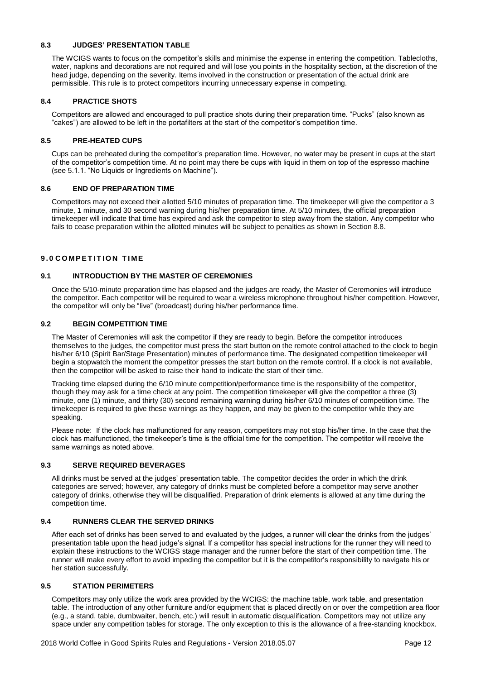# **8.3 JUDGES' PRESENTATION TABLE**

The WCIGS wants to focus on the competitor's skills and minimise the expense in entering the competition. Tablecloths, water, napkins and decorations are not required and will lose you points in the hospitality section, at the discretion of the head judge, depending on the severity. Items involved in the construction or presentation of the actual drink are permissible. This rule is to protect competitors incurring unnecessary expense in competing.

# **8.4 PRACTICE SHOTS**

Competitors are allowed and encouraged to pull practice shots during their preparation time. "Pucks" (also known as "cakes") are allowed to be left in the portafilters at the start of the competitor's competition time.

# **8.5 PRE-HEATED CUPS**

Cups can be preheated during the competitor's preparation time. However, no water may be present in cups at the start of the competitor's competition time. At no point may there be cups with liquid in them on top of the espresso machine (see 5.1.1. "No Liquids or Ingredients on Machine").

# **8.6 END OF PREPARATION TIME**

Competitors may not exceed their allotted 5/10 minutes of preparation time. The timekeeper will give the competitor a 3 minute, 1 minute, and 30 second warning during his/her preparation time. At 5/10 minutes, the official preparation timekeeper will indicate that time has expired and ask the competitor to step away from the station. Any competitor who fails to cease preparation within the allotted minutes will be subject to penalties as shown in Section 8.8.

# **9.0 C O MP E T IT IO N T I ME**

# **9.1 INTRODUCTION BY THE MASTER OF CEREMONIES**

Once the 5/10-minute preparation time has elapsed and the judges are ready, the Master of Ceremonies will introduce the competitor. Each competitor will be required to wear a wireless microphone throughout his/her competition. However, the competitor will only be "live" (broadcast) during his/her performance time.

# **9.2 BEGIN COMPETITION TIME**

The Master of Ceremonies will ask the competitor if they are ready to begin. Before the competitor introduces themselves to the judges, the competitor must press the start button on the remote control attached to the clock to begin his/her 6/10 (Spirit Bar/Stage Presentation) minutes of performance time. The designated competition timekeeper will begin a stopwatch the moment the competitor presses the start button on the remote control. If a clock is not available, then the competitor will be asked to raise their hand to indicate the start of their time.

Tracking time elapsed during the 6/10 minute competition/performance time is the responsibility of the competitor, though they may ask for a time check at any point. The competition timekeeper will give the competitor a three (3) minute, one (1) minute, and thirty (30) second remaining warning during his/her 6/10 minutes of competition time. The timekeeper is required to give these warnings as they happen, and may be given to the competitor while they are speaking.

Please note: If the clock has malfunctioned for any reason, competitors may not stop his/her time. In the case that the clock has malfunctioned, the timekeeper's time is the official time for the competition. The competitor will receive the same warnings as noted above.

# **9.3 SERVE REQUIRED BEVERAGES**

All drinks must be served at the judges' presentation table. The competitor decides the order in which the drink categories are served; however, any category of drinks must be completed before a competitor may serve another category of drinks, otherwise they will be disqualified. Preparation of drink elements is allowed at any time during the competition time.

# **9.4 RUNNERS CLEAR THE SERVED DRINKS**

After each set of drinks has been served to and evaluated by the judges, a runner will clear the drinks from the judges' presentation table upon the head judge's signal. If a competitor has special instructions for the runner they will need to explain these instructions to the WCIGS stage manager and the runner before the start of their competition time. The runner will make every effort to avoid impeding the competitor but it is the competitor's responsibility to navigate his or her station successfully.

# **9.5 STATION PERIMETERS**

Competitors may only utilize the work area provided by the WCIGS: the machine table, work table, and presentation table. The introduction of any other furniture and/or equipment that is placed directly on or over the competition area floor (e.g., a stand, table, dumbwaiter, bench, etc.) will result in automatic disqualification. Competitors may not utilize any space under any competition tables for storage. The only exception to this is the allowance of a free-standing knockbox.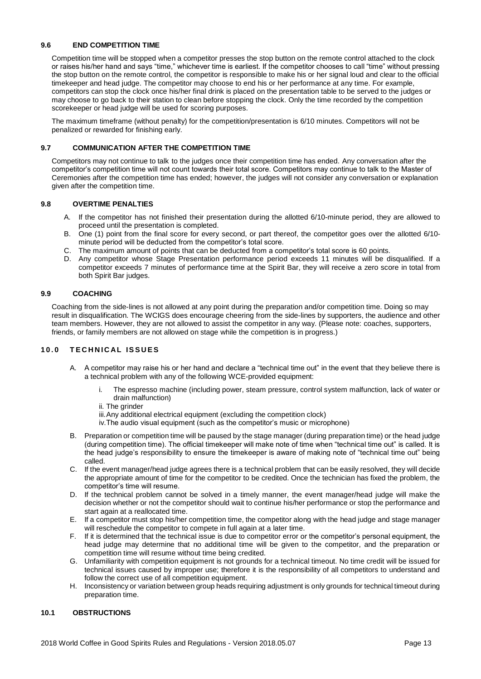#### **9.6 END COMPETITION TIME**

Competition time will be stopped when a competitor presses the stop button on the remote control attached to the clock or raises his/her hand and says "time," whichever time is earliest. If the competitor chooses to call "time" without pressing the stop button on the remote control, the competitor is responsible to make his or her signal loud and clear to the official timekeeper and head judge. The competitor may choose to end his or her performance at any time. For example, competitors can stop the clock once his/her final drink is placed on the presentation table to be served to the judges or may choose to go back to their station to clean before stopping the clock. Only the time recorded by the competition scorekeeper or head judge will be used for scoring purposes.

The maximum timeframe (without penalty) for the competition/presentation is 6/10 minutes. Competitors will not be penalized or rewarded for finishing early.

#### **9.7 COMMUNICATION AFTER THE COMPETITION TIME**

Competitors may not continue to talk to the judges once their competition time has ended. Any conversation after the competitor's competition time will not count towards their total score. Competitors may continue to talk to the Master of Ceremonies after the competition time has ended; however, the judges will not consider any conversation or explanation given after the competition time.

# **9.8 OVERTIME PENALTIES**

- A. If the competitor has not finished their presentation during the allotted 6/10-minute period, they are allowed to proceed until the presentation is completed.
- B. One (1) point from the final score for every second, or part thereof, the competitor goes over the allotted 6/10 minute period will be deducted from the competitor's total score.
- C. The maximum amount of points that can be deducted from a competitor's total score is 60 points.
- D. Any competitor whose Stage Presentation performance period exceeds 11 minutes will be disqualified. If a competitor exceeds 7 minutes of performance time at the Spirit Bar, they will receive a zero score in total from both Spirit Bar judges.

# **9.9 COACHING**

Coaching from the side-lines is not allowed at any point during the preparation and/or competition time. Doing so may result in disqualification. The WCIGS does encourage cheering from the side-lines by supporters, the audience and other team members. However, they are not allowed to assist the competitor in any way. (Please note: coaches, supporters, friends, or family members are not allowed on stage while the competition is in progress.)

# **10.0 T E C H N IC AL IS S U E S**

- A. A competitor may raise his or her hand and declare a "technical time out" in the event that they believe there is a technical problem with any of the following WCE-provided equipment:
	- i. The espresso machine (including power, steam pressure, control system malfunction, lack of water or drain malfunction)
	- ii. The grinder
	- iii.Any additional electrical equipment (excluding the competition clock)
	- iv.The audio visual equipment (such as the competitor's music or microphone)
- B. Preparation or competition time will be paused by the stage manager (during preparation time) or the head judge (during competition time). The official timekeeper will make note of time when "technical time out" is called. It is the head judge's responsibility to ensure the timekeeper is aware of making note of "technical time out" being called.
- C. If the event manager/head judge agrees there is a technical problem that can be easily resolved, they will decide the appropriate amount of time for the competitor to be credited. Once the technician has fixed the problem, the competitor's time will resume.
- D. If the technical problem cannot be solved in a timely manner, the event manager/head judge will make the decision whether or not the competitor should wait to continue his/her performance or stop the performance and start again at a reallocated time.
- E. If a competitor must stop his/her competition time, the competitor along with the head judge and stage manager will reschedule the competitor to compete in full again at a later time.
- F. If it is determined that the technical issue is due to competitor error or the competitor's personal equipment, the head judge may determine that no additional time will be given to the competitor, and the preparation or competition time will resume without time being credited.
- G. Unfamiliarity with competition equipment is not grounds for a technical timeout. No time credit will be issued for technical issues caused by improper use; therefore it is the responsibility of all competitors to understand and follow the correct use of all competition equipment.
- H. Inconsistency or variation between group heads requiring adjustment is only grounds for technical timeout during preparation time.

# **10.1 OBSTRUCTIONS**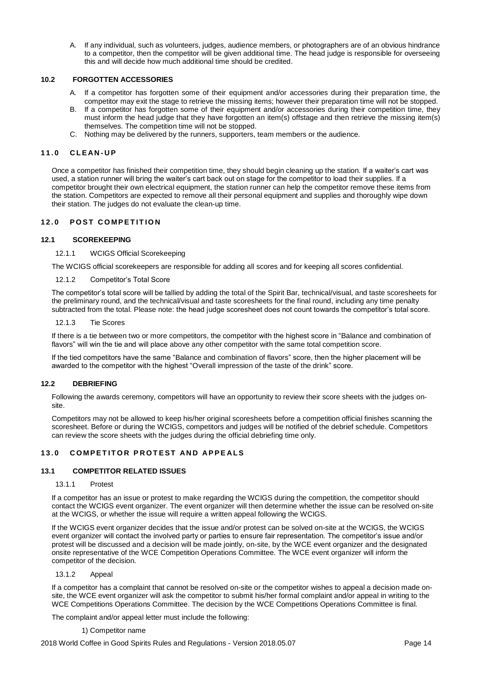A. If any individual, such as volunteers, judges, audience members, or photographers are of an obvious hindrance to a competitor, then the competitor will be given additional time. The head judge is responsible for overseeing this and will decide how much additional time should be credited.

# **10.2 FORGOTTEN ACCESSORIES**

- A. If a competitor has forgotten some of their equipment and/or accessories during their preparation time, the competitor may exit the stage to retrieve the missing items; however their preparation time will not be stopped.
- B. If a competitor has forgotten some of their equipment and/or accessories during their competition time, they must inform the head judge that they have forgotten an item(s) offstage and then retrieve the missing item(s) themselves. The competition time will not be stopped.
- C. Nothing may be delivered by the runners, supporters, team members or the audience.

# **11.0 C L E AN - UP**

Once a competitor has finished their competition time, they should begin cleaning up the station. If a waiter's cart was used, a station runner will bring the waiter's cart back out on stage for the competitor to load their supplies. If a competitor brought their own electrical equipment, the station runner can help the competitor remove these items from the station. Competitors are expected to remove all their personal equipment and supplies and thoroughly wipe down their station. The judges do not evaluate the clean-up time.

# **12.0 POST COMPETITION**

#### **12.1 SCOREKEEPING**

12.1.1 WCIGS Official Scorekeeping

The WCIGS official scorekeepers are responsible for adding all scores and for keeping all scores confidential.

12.1.2 Competitor's Total Score

The competitor's total score will be tallied by adding the total of the Spirit Bar, technical/visual, and taste scoresheets for the preliminary round, and the technical/visual and taste scoresheets for the final round, including any time penalty subtracted from the total. Please note: the head judge scoresheet does not count towards the competitor's total score.

12.1.3 Tie Scores

If there is a tie between two or more competitors, the competitor with the highest score in "Balance and combination of flavors" will win the tie and will place above any other competitor with the same total competition score.

If the tied competitors have the same "Balance and combination of flavors" score, then the higher placement will be awarded to the competitor with the highest "Overall impression of the taste of the drink" score.

# **12.2 DEBRIEFING**

Following the awards ceremony, competitors will have an opportunity to review their score sheets with the judges onsite.

Competitors may not be allowed to keep his/her original scoresheets before a competition official finishes scanning the scoresheet. Before or during the WCIGS, competitors and judges will be notified of the debrief schedule. Competitors can review the score sheets with the judges during the official debriefing time only.

# **13.0 C O MP E T IT O R P R O T E ST AN D AP P E AL S**

# **13.1 COMPETITOR RELATED ISSUES**

#### 13.1.1 Protest

If a competitor has an issue or protest to make regarding the WCIGS during the competition, the competitor should contact the WCIGS event organizer. The event organizer will then determine whether the issue can be resolved on-site at the WCIGS, or whether the issue will require a written appeal following the WCIGS.

If the WCIGS event organizer decides that the issue and/or protest can be solved on-site at the WCIGS, the WCIGS event organizer will contact the involved party or parties to ensure fair representation. The competitor's issue and/or protest will be discussed and a decision will be made jointly, on-site, by the WCE event organizer and the designated onsite representative of the WCE Competition Operations Committee. The WCE event organizer will inform the competitor of the decision.

#### 13.1.2 Appeal

If a competitor has a complaint that cannot be resolved on-site or the competitor wishes to appeal a decision made onsite, the WCE event organizer will ask the competitor to submit his/her formal complaint and/or appeal in writing to the WCE Competitions Operations Committee. The decision by the WCE Competitions Operations Committee is final.

The complaint and/or appeal letter must include the following:

#### 1) Competitor name

2018 World Coffee in Good Spirits Rules and Regulations - Version 2018.05.07 Page 14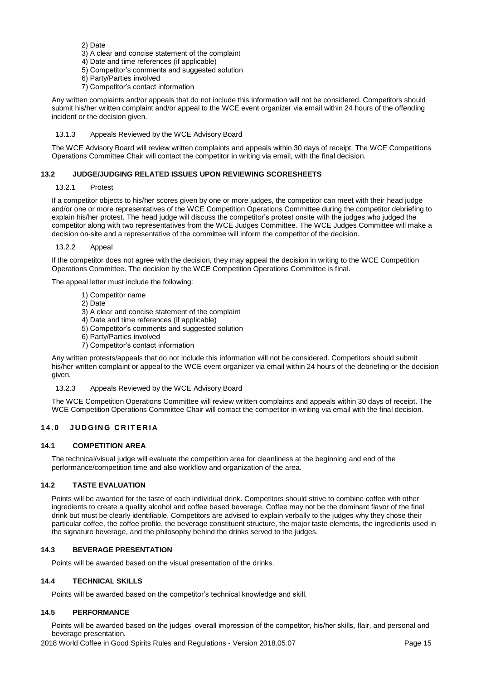- 2) Date
- 3) A clear and concise statement of the complaint
- 4) Date and time references (if applicable)
- 5) Competitor's comments and suggested solution
- 6) Party/Parties involved
- 7) Competitor's contact information

Any written complaints and/or appeals that do not include this information will not be considered. Competitors should submit his/her written complaint and/or appeal to the WCE event organizer via email within 24 hours of the offending incident or the decision given.

# 13.1.3 Appeals Reviewed by the WCE Advisory Board

The WCE Advisory Board will review written complaints and appeals within 30 days of receipt. The WCE Competitions Operations Committee Chair will contact the competitor in writing via email, with the final decision.

# **13.2 JUDGE/JUDGING RELATED ISSUES UPON REVIEWING SCORESHEETS**

# 13.2.1 Protest

If a competitor objects to his/her scores given by one or more judges, the competitor can meet with their head judge and/or one or more representatives of the WCE Competition Operations Committee during the competitor debriefing to explain his/her protest. The head judge will discuss the competitor's protest onsite with the judges who judged the competitor along with two representatives from the WCE Judges Committee. The WCE Judges Committee will make a decision on-site and a representative of the committee will inform the competitor of the decision.

13.2.2 Appeal

If the competitor does not agree with the decision, they may appeal the decision in writing to the WCE Competition Operations Committee. The decision by the WCE Competition Operations Committee is final.

The appeal letter must include the following:

- 1) Competitor name
- 2) Date
- 3) A clear and concise statement of the complaint
- 4) Date and time references (if applicable)
- 5) Competitor's comments and suggested solution
- 6) Party/Parties involved
- 7) Competitor's contact information

Any written protests/appeals that do not include this information will not be considered. Competitors should submit his/her written complaint or appeal to the WCE event organizer via email within 24 hours of the debriefing or the decision given.

# 13.2.3 Appeals Reviewed by the WCE Advisory Board

The WCE Competition Operations Committee will review written complaints and appeals within 30 days of receipt. The WCE Competition Operations Committee Chair will contact the competitor in writing via email with the final decision.

# **14.0 JUDGING CRITERIA**

# **14.1 COMPETITION AREA**

The technical/visual judge will evaluate the competition area for cleanliness at the beginning and end of the performance/competition time and also workflow and organization of the area.

# **14.2 TASTE EVALUATION**

Points will be awarded for the taste of each individual drink. Competitors should strive to combine coffee with other ingredients to create a quality alcohol and coffee based beverage. Coffee may not be the dominant flavor of the final drink but must be clearly identifiable. Competitors are advised to explain verbally to the judges why they chose their particular coffee, the coffee profile, the beverage constituent structure, the major taste elements, the ingredients used in the signature beverage, and the philosophy behind the drinks served to the judges.

# **14.3 BEVERAGE PRESENTATION**

Points will be awarded based on the visual presentation of the drinks.

# **14.4 TECHNICAL SKILLS**

Points will be awarded based on the competitor's technical knowledge and skill.

# **14.5 PERFORMANCE**

Points will be awarded based on the judges' overall impression of the competitor, his/her skills, flair, and personal and beverage presentation.

2018 World Coffee in Good Spirits Rules and Regulations - Version 2018.05.07 Page 15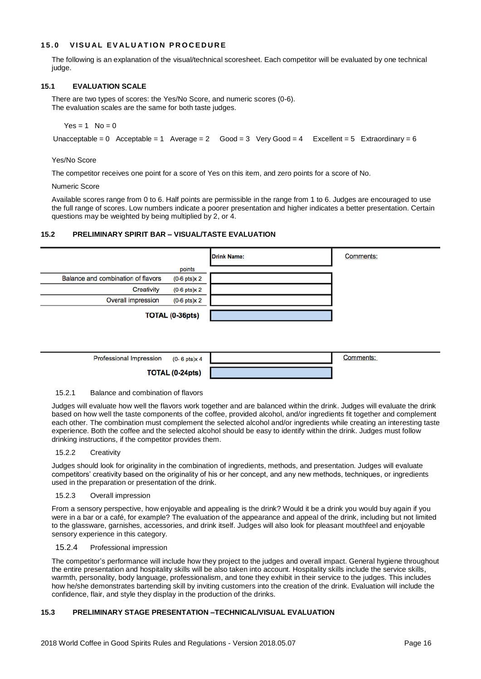# **15.0 V IS U AL E V AL U AT IO N P R OCEDURE**

The following is an explanation of the visual/technical scoresheet. Each competitor will be evaluated by one technical judge.

# **15.1 EVALUATION SCALE**

There are two types of scores: the Yes/No Score, and numeric scores (0-6). The evaluation scales are the same for both taste judges.

#### $Yes = 1$  No = 0

Unacceptable = 0 Acceptable = 1 Average = 2  $Good = 3$  Very Good = 4  $្Excellent = 5  $Extraordinary = 6$$ 

#### Yes/No Score

The competitor receives one point for a score of Yes on this item, and zero points for a score of No.

Numeric Score

Available scores range from 0 to 6. Half points are permissible in the range from 1 to 6. Judges are encouraged to use the full range of scores. Low numbers indicate a poorer presentation and higher indicates a better presentation. Certain questions may be weighted by being multiplied by 2, or 4.

# **15.2 PRELIMINARY SPIRIT BAR – VISUAL/TASTE EVALUATION**

|                                    |                        | <b>Drink Name:</b> | <b>Comments:</b> |
|------------------------------------|------------------------|--------------------|------------------|
|                                    | points                 |                    |                  |
| Balance and combination of flavors | $(0-6$ pts) $x$ 2      |                    |                  |
| Creativity                         | $(0-6$ pts) $x$ 2      |                    |                  |
| <b>Overall impression</b>          | $(0-6$ pts) $x$ 2      |                    |                  |
| TOTAL (0-36pts)                    |                        |                    |                  |
|                                    |                        |                    |                  |
|                                    |                        |                    |                  |
| Professional Impression            | $(0 - 6$ pts)x 4       |                    | Comments:        |
|                                    | <b>TOTAL (0-24pts)</b> |                    |                  |

#### 15.2.1 Balance and combination of flavors

Judges will evaluate how well the flavors work together and are balanced within the drink. Judges will evaluate the drink based on how well the taste components of the coffee, provided alcohol, and/or ingredients fit together and complement each other. The combination must complement the selected alcohol and/or ingredients while creating an interesting taste experience. Both the coffee and the selected alcohol should be easy to identify within the drink. Judges must follow drinking instructions, if the competitor provides them.

# 15.2.2 Creativity

Judges should look for originality in the combination of ingredients, methods, and presentation. Judges will evaluate competitors' creativity based on the originality of his or her concept, and any new methods, techniques, or ingredients used in the preparation or presentation of the drink.

#### 15.2.3 Overall impression

From a sensory perspective, how enjoyable and appealing is the drink? Would it be a drink you would buy again if you were in a bar or a café, for example? The evaluation of the appearance and appeal of the drink, including but not limited to the glassware, garnishes, accessories, and drink itself. Judges will also look for pleasant mouthfeel and enjoyable sensory experience in this category.

#### 15.2.4 Professional impression

The competitor's performance will include how they project to the judges and overall impact. General hygiene throughout the entire presentation and hospitality skills will be also taken into account. Hospitality skills include the service skills, warmth, personality, body language, professionalism, and tone they exhibit in their service to the judges. This includes how he/she demonstrates bartending skill by inviting customers into the creation of the drink. Evaluation will include the confidence, flair, and style they display in the production of the drinks.

# **15.3 PRELIMINARY STAGE PRESENTATION –TECHNICAL/VISUAL EVALUATION**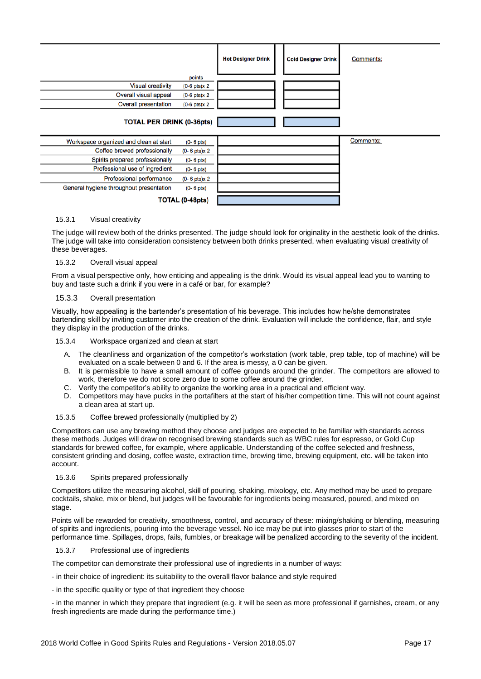|                                                          | <b>Hot Designer Drink</b> | <b>Cold Designer Drink</b> | <b>Comments:</b> |
|----------------------------------------------------------|---------------------------|----------------------------|------------------|
| points                                                   |                           |                            |                  |
| <b>Visual creativity</b><br>$(0-6$ pts) $\times$ 2       |                           |                            |                  |
| Overall visual appeal<br>$(0-6$ pts) $x$ 2               |                           |                            |                  |
| <b>Overall presentation</b><br>$(0-6$ pts) $x$ 2         |                           |                            |                  |
| <b>TOTAL PER DRINK (0-36pts)</b>                         |                           |                            |                  |
| Workspace organized and clean at start<br>$(0 - 6$ pts)  |                           |                            | <b>Comments:</b> |
| Coffee brewed professionally<br>$(0 - 6$ pts)x 2         |                           |                            |                  |
| Spirits prepared professionally<br>$(0 - 6$ pts)         |                           |                            |                  |
| Professional use of ingredient<br>$(0 - 6$ pts)          |                           |                            |                  |
| Professional performance<br>$(0 - 6$ pts) $x$ 2          |                           |                            |                  |
| General hygiene throughout presentation<br>$(0 - 6$ pts) |                           |                            |                  |
| TOTAL (0-48pts)                                          |                           |                            |                  |

#### 15.3.1 Visual creativity

The judge will review both of the drinks presented. The judge should look for originality in the aesthetic look of the drinks. The judge will take into consideration consistency between both drinks presented, when evaluating visual creativity of these beverages.

# 15.3.2 Overall visual appeal

From a visual perspective only, how enticing and appealing is the drink. Would its visual appeal lead you to wanting to buy and taste such a drink if you were in a café or bar, for example?

# 15.3.3 Overall presentation

Visually, how appealing is the bartender's presentation of his beverage. This includes how he/she demonstrates bartending skill by inviting customer into the creation of the drink. Evaluation will include the confidence, flair, and style they display in the production of the drinks.

15.3.4 Workspace organized and clean at start

- A. The cleanliness and organization of the competitor's workstation (work table, prep table, top of machine) will be evaluated on a scale between 0 and 6. If the area is messy, a 0 can be given.
- B. It is permissible to have a small amount of coffee grounds around the grinder. The competitors are allowed to work, therefore we do not score zero due to some coffee around the grinder.
- C. Verify the competitor's ability to organize the working area in a practical and efficient way.
- D. Competitors may have pucks in the portafilters at the start of his/her competition time. This will not count against a clean area at start up.

# 15.3.5 Coffee brewed professionally (multiplied by 2)

Competitors can use any brewing method they choose and judges are expected to be familiar with standards across these methods. Judges will draw on recognised brewing standards such as WBC rules for espresso, or Gold Cup standards for brewed coffee, for example, where applicable. Understanding of the coffee selected and freshness, consistent grinding and dosing, coffee waste, extraction time, brewing time, brewing equipment, etc. will be taken into account.

# 15.3.6 Spirits prepared professionally

Competitors utilize the measuring alcohol, skill of pouring, shaking, mixology, etc. Any method may be used to prepare cocktails, shake, mix or blend, but judges will be favourable for ingredients being measured, poured, and mixed on stage.

Points will be rewarded for creativity, smoothness, control, and accuracy of these: mixing/shaking or blending, measuring of spirits and ingredients, pouring into the beverage vessel. No ice may be put into glasses prior to start of the performance time. Spillages, drops, fails, fumbles, or breakage will be penalized according to the severity of the incident.

# 15.3.7 Professional use of ingredients

The competitor can demonstrate their professional use of ingredients in a number of ways:

- in their choice of ingredient: its suitability to the overall flavor balance and style required

- in the specific quality or type of that ingredient they choose

- in the manner in which they prepare that ingredient (e.g. it will be seen as more professional if garnishes, cream, or any fresh ingredients are made during the performance time.)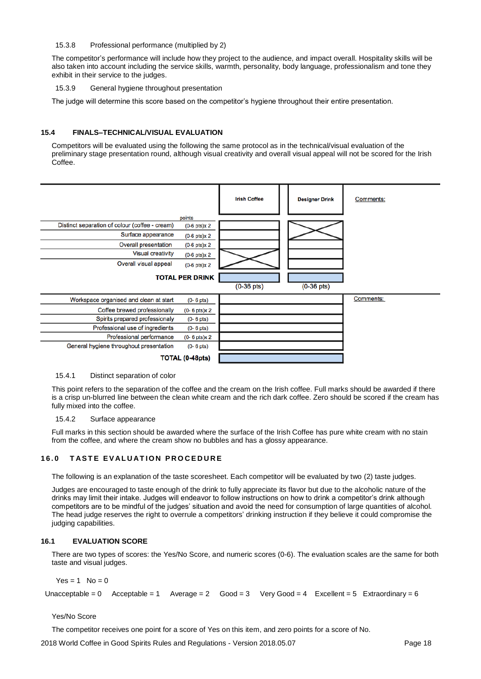# 15.3.8 Professional performance (multiplied by 2)

The competitor's performance will include how they project to the audience, and impact overall. Hospitality skills will be also taken into account including the service skills, warmth, personality, body language, professionalism and tone they exhibit in their service to the judges.

# 15.3.9 General hygiene throughout presentation

The judge will determine this score based on the competitor's hygiene throughout their entire presentation.

# **15.4 FINALS–TECHNICAL/VISUAL EVALUATION**

Competitors will be evaluated using the following the same protocol as in the technical/visual evaluation of the preliminary stage presentation round, although visual creativity and overall visual appeal will not be scored for the Irish Coffee.



# 15.4.1 Distinct separation of color

This point refers to the separation of the coffee and the cream on the Irish coffee. Full marks should be awarded if there is a crisp un-blurred line between the clean white cream and the rich dark coffee. Zero should be scored if the cream has fully mixed into the coffee.

# 15.4.2 Surface appearance

Full marks in this section should be awarded where the surface of the Irish Coffee has pure white cream with no stain from the coffee, and where the cream show no bubbles and has a glossy appearance.

# **16.0 T AS T E E V AL U AT IO N P R O CEDURE**

The following is an explanation of the taste scoresheet. Each competitor will be evaluated by two (2) taste judges.

Judges are encouraged to taste enough of the drink to fully appreciate its flavor but due to the alcoholic nature of the drinks may limit their intake. Judges will endeavor to follow instructions on how to drink a competitor's drink although competitors are to be mindful of the judges' situation and avoid the need for consumption of large quantities of alcohol. The head judge reserves the right to overrule a competitors' drinking instruction if they believe it could compromise the judging capabilities.

# **16.1 EVALUATION SCORE**

There are two types of scores: the Yes/No Score, and numeric scores (0-6). The evaluation scales are the same for both taste and visual judges.

```
Yes = 1 No = 0
```
Unacceptable =  $0$  Acceptable =  $1$  Average =  $2$  Good =  $3$  Very Good =  $4$  Excellent =  $5$  Extraordinary =  $6$ 

# Yes/No Score

The competitor receives one point for a score of Yes on this item, and zero points for a score of No.

2018 World Coffee in Good Spirits Rules and Regulations - Version 2018.05.07 Page 18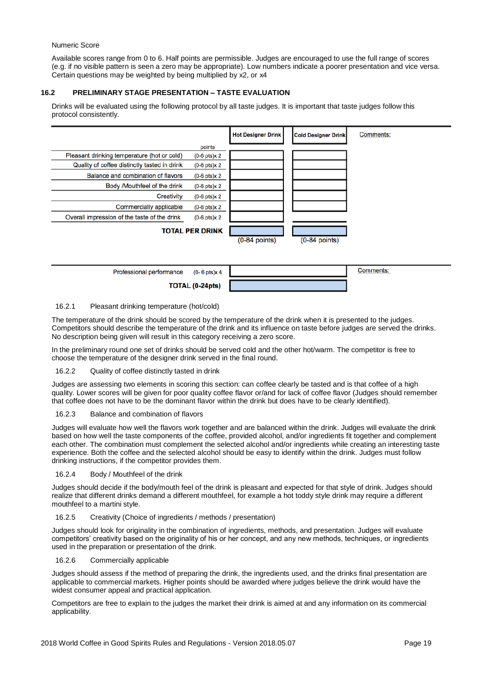#### Numeric Score

Available scores range from 0 to 6. Half points are permissible. Judges are encouraged to use the full range of scores (e.g. if no visible pattern is seen a zero may be appropriate). Low numbers indicate a poorer presentation and vice versa. Certain questions may be weighted by being multiplied by x2, or x4

# **16.2 PRELIMINARY STAGE PRESENTATION – TASTE EVALUATION**

Drinks will be evaluated using the following protocol by all taste judges. It is important that taste judges follow this protocol consistently.



# 16.2.1 Pleasant drinking temperature (hot/cold)

The temperature of the drink should be scored by the temperature of the drink when it is presented to the judges. Competitors should describe the temperature of the drink and its influence on taste before judges are served the drinks. No description being given will result in this category receiving a zero score.

In the preliminary round one set of drinks should be served cold and the other hot/warm. The competitor is free to choose the temperature of the designer drink served in the final round.

# 16.2.2 Quality of coffee distinctly tasted in drink

Judges are assessing two elements in scoring this section: can coffee clearly be tasted and is that coffee of a high quality. Lower scores will be given for poor quality coffee flavor or/and for lack of coffee flavor (Judges should remember that coffee does not have to be the dominant flavor within the drink but does have to be clearly identified).

# 16.2.3 Balance and combination of flavors

Judges will evaluate how well the flavors work together and are balanced within the drink. Judges will evaluate the drink based on how well the taste components of the coffee, provided alcohol, and/or ingredients fit together and complement each other. The combination must complement the selected alcohol and/or ingredients while creating an interesting taste experience. Both the coffee and the selected alcohol should be easy to identify within the drink. Judges must follow drinking instructions, if the competitor provides them.

# 16.2.4 Body / Mouthfeel of the drink

Judges should decide if the body/mouth feel of the drink is pleasant and expected for that style of drink. Judges should realize that different drinks demand a different mouthfeel, for example a hot toddy style drink may require a different mouthfeel to a martini style.

# 16.2.5 Creativity (Choice of ingredients / methods / presentation)

Judges should look for originality in the combination of ingredients, methods, and presentation. Judges will evaluate competitors' creativity based on the originality of his or her concept, and any new methods, techniques, or ingredients used in the preparation or presentation of the drink.

# 16.2.6 Commercially applicable

Judges should assess if the method of preparing the drink, the ingredients used, and the drinks final presentation are applicable to commercial markets. Higher points should be awarded where judges believe the drink would have the widest consumer appeal and practical application.

Competitors are free to explain to the judges the market their drink is aimed at and any information on its commercial applicability.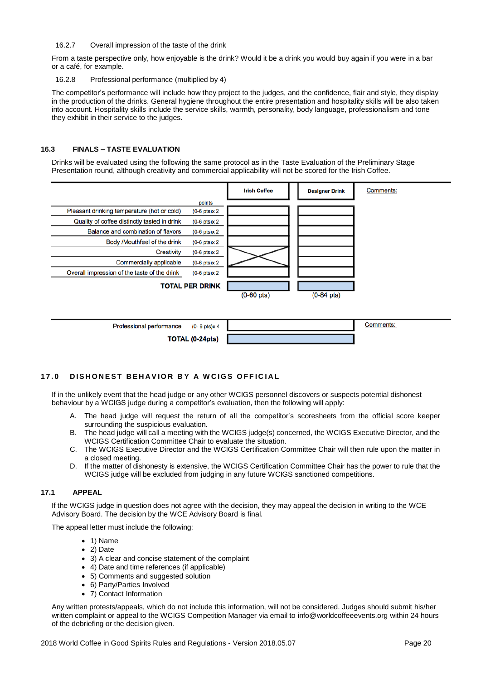# 16.2.7 Overall impression of the taste of the drink

From a taste perspective only, how enjoyable is the drink? Would it be a drink you would buy again if you were in a bar or a café, for example.

# 16.2.8 Professional performance (multiplied by 4)

The competitor's performance will include how they project to the judges, and the confidence, flair and style, they display in the production of the drinks. General hygiene throughout the entire presentation and hospitality skills will be also taken into account. Hospitality skills include the service skills, warmth, personality, body language, professionalism and tone they exhibit in their service to the judges.

# **16.3 FINALS – TASTE EVALUATION**

Drinks will be evaluated using the following the same protocol as in the Taste Evaluation of the Preliminary Stage Presentation round, although creativity and commercial applicability will not be scored for the Irish Coffee.



# **17.0 DISHONEST BEHAVIOR BY A WCIGS OFFICIAL**

If in the unlikely event that the head judge or any other WCIGS personnel discovers or suspects potential dishonest behaviour by a WCIGS judge during a competitor's evaluation, then the following will apply:

- A. The head judge will request the return of all the competitor's scoresheets from the official score keeper surrounding the suspicious evaluation.
- B. The head judge will call a meeting with the WCIGS judge(s) concerned, the WCIGS Executive Director, and the WCIGS Certification Committee Chair to evaluate the situation.
- C. The WCIGS Executive Director and the WCIGS Certification Committee Chair will then rule upon the matter in a closed meeting.
- D. If the matter of dishonesty is extensive, the WCIGS Certification Committee Chair has the power to rule that the WCIGS judge will be excluded from judging in any future WCIGS sanctioned competitions.

# **17.1 APPEAL**

If the WCIGS judge in question does not agree with the decision, they may appeal the decision in writing to the WCE Advisory Board. The decision by the WCE Advisory Board is final.

The appeal letter must include the following:

- 1) Name
- 2) Date
- 3) A clear and concise statement of the complaint
- 4) Date and time references (if applicable)
- 5) Comments and suggested solution
- 6) Party/Parties Involved
- 7) Contact Information

Any written protests/appeals, which do not include this information, will not be considered. Judges should submit his/her written complaint or appeal to the WCIGS Competition Manager via email to [info@worldcoffeeevents.org](mailto:wbc@worldbaristachampionship.org) within 24 hours of the debriefing or the decision given.